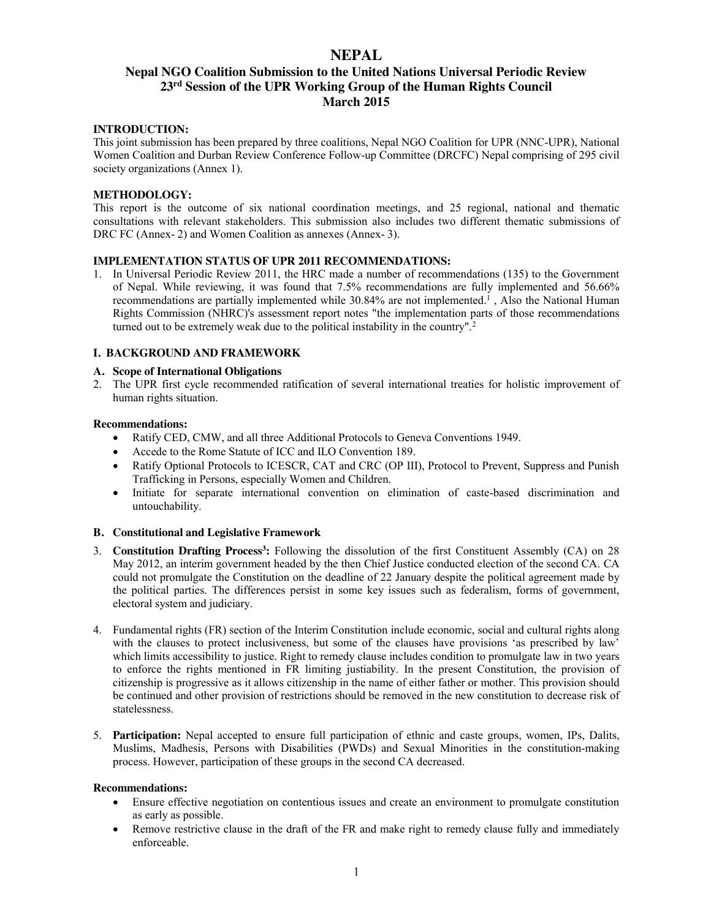# **NEPAL**

# **Nepal NGO Coalition Submission to the United Nations Universal Periodic Review 23rd Session of the UPR Working Group of the Human Rights Council March 2015**

## **INTRODUCTION:**

This joint submission has been prepared by three coalitions, Nepal NGO Coalition for UPR (NNC-UPR), National Women Coalition and Durban Review Conference Follow-up Committee (DRCFC) Nepal comprising of 295 civil society organizations (Annex 1).

## **METHODOLOGY:**

This report is the outcome of six national coordination meetings, and 25 regional, national and thematic consultations with relevant stakeholders. This submission also includes two different thematic submissions of DRC FC (Annex- 2) and Women Coalition as annexes (Annex- 3).

## **IMPLEMENTATION STATUS OF UPR 2011 RECOMMENDATIONS:**

1. In Universal Periodic Review 2011, the HRC made a number of recommendations (135) to the Government of Nepal. While reviewing, it was found that 7.5% recommendations are fully implemented and 56.66% recommendations are partially implemented while 30.84% are not implemented.<sup>1</sup>, Also the National Human Rights Commission (NHRC)'s assessment report notes "the implementation parts of those recommendations turned out to be extremely weak due to the political instability in the country".<sup>2</sup>

## **I. BACKGROUND AND FRAMEWORK**

## **A. Scope of International Obligations**

2. The UPR first cycle recommended ratification of several international treaties for holistic improvement of human rights situation.

### **Recommendations:**

- Ratify CED, CMW, and all three Additional Protocols to Geneva Conventions 1949.
- Accede to the Rome Statute of ICC and ILO Convention 189.
- Ratify Optional Protocols to ICESCR, CAT and CRC (OP III), Protocol to Prevent, Suppress and Punish Trafficking in Persons, especially Women and Children.
- Initiate for separate international convention on elimination of caste-based discrimination and untouchability.

# **B. Constitutional and Legislative Framework**

- 3. **Constitution Drafting Process3:** Following the dissolution of the first Constituent Assembly (CA) on 28 May 2012, an interim government headed by the then Chief Justice conducted election of the second CA. CA could not promulgate the Constitution on the deadline of 22 January despite the political agreement made by the political parties. The differences persist in some key issues such as federalism, forms of government, electoral system and judiciary.
- 4. Fundamental rights (FR) section of the Interim Constitution include economic, social and cultural rights along with the clauses to protect inclusiveness, but some of the clauses have provisions 'as prescribed by law' which limits accessibility to justice. Right to remedy clause includes condition to promulgate law in two years to enforce the rights mentioned in FR limiting justiability. In the present Constitution, the provision of citizenship is progressive as it allows citizenship in the name of either father or mother. This provision should be continued and other provision of restrictions should be removed in the new constitution to decrease risk of statelessness.
- 5. **Participation:** Nepal accepted to ensure full participation of ethnic and caste groups, women, IPs, Dalits, Muslims, Madhesis, Persons with Disabilities (PWDs) and Sexual Minorities in the constitution-making process. However, participation of these groups in the second CA decreased.

- Ensure effective negotiation on contentious issues and create an environment to promulgate constitution as early as possible.
- Remove restrictive clause in the draft of the FR and make right to remedy clause fully and immediately enforceable.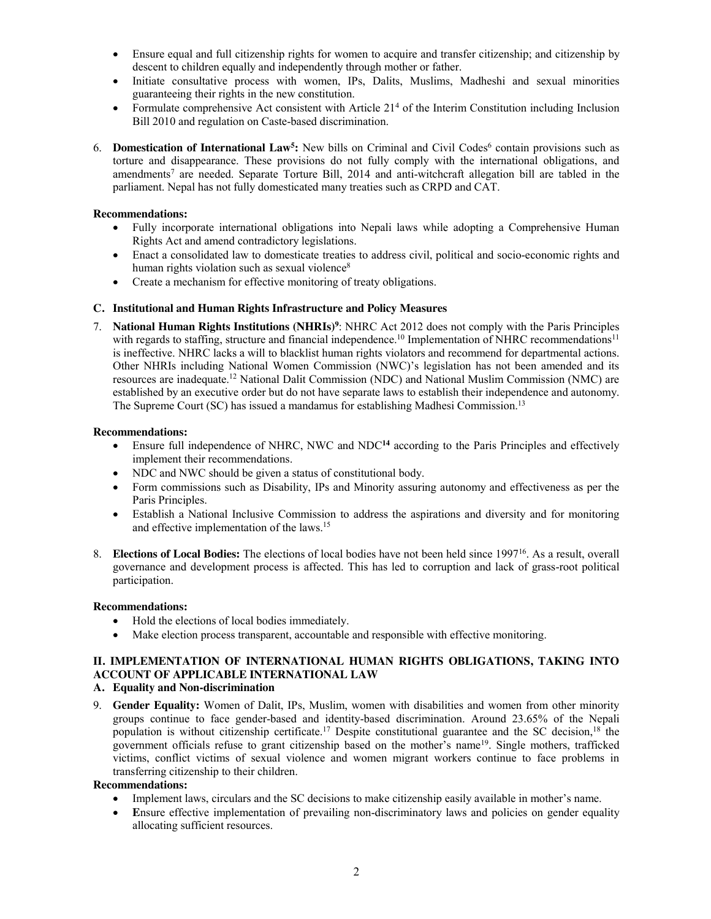- x Ensure equal and full citizenship rights for women to acquire and transfer citizenship; and citizenship by descent to children equally and independently through mother or father.
- Initiate consultative process with women, IPs, Dalits, Muslims, Madheshi and sexual minorities guaranteeing their rights in the new constitution.
- Formulate comprehensive Act consistent with Article 21<sup>4</sup> of the Interim Constitution including Inclusion Bill 2010 and regulation on Caste-based discrimination.
- 6. **Domestication of International Law<sup>5</sup>:** New bills on Criminal and Civil Codes<sup>6</sup> contain provisions such as torture and disappearance. These provisions do not fully comply with the international obligations, and amendments7 are needed. Separate Torture Bill, 2014 and anti-witchcraft allegation bill are tabled in the parliament. Nepal has not fully domesticated many treaties such as CRPD and CAT.

## **Recommendations:**

- Fully incorporate international obligations into Nepali laws while adopting a Comprehensive Human Rights Act and amend contradictory legislations.
- Enact a consolidated law to domesticate treaties to address civil, political and socio-economic rights and human rights violation such as sexual violence<sup>8</sup>
- Create a mechanism for effective monitoring of treaty obligations.

## **C. Institutional and Human Rights Infrastructure and Policy Measures**

7. **National Human Rights Institutions (NHRIs)9** : NHRC Act 2012 does not comply with the Paris Principles with regards to staffing, structure and financial independence.<sup>10</sup> Implementation of NHRC recommendations<sup>11</sup> is ineffective. NHRC lacks a will to blacklist human rights violators and recommend for departmental actions. Other NHRIs including National Women Commission (NWC)'s legislation has not been amended and its resources are inadequate.12 National Dalit Commission (NDC) and National Muslim Commission (NMC) are established by an executive order but do not have separate laws to establish their independence and autonomy. The Supreme Court (SC) has issued a mandamus for establishing Madhesi Commission.13

### **Recommendations:**

- Ensure full independence of NHRC, NWC and NDC<sup>14</sup> according to the Paris Principles and effectively implement their recommendations.
- NDC and NWC should be given a status of constitutional body.
- Form commissions such as Disability, IPs and Minority assuring autonomy and effectiveness as per the Paris Principles.
- Establish a National Inclusive Commission to address the aspirations and diversity and for monitoring and effective implementation of the laws.15
- 8. **Elections of Local Bodies:** The elections of local bodies have not been held since 199716. As a result, overall governance and development process is affected. This has led to corruption and lack of grass-root political participation.

### **Recommendations:**

- Hold the elections of local bodies immediately.
- Make election process transparent, accountable and responsible with effective monitoring.

# **II. IMPLEMENTATION OF INTERNATIONAL HUMAN RIGHTS OBLIGATIONS, TAKING INTO ACCOUNT OF APPLICABLE INTERNATIONAL LAW**

## **A. Equality and Non-discrimination**

9. **Gender Equality:** Women of Dalit, IPs, Muslim, women with disabilities and women from other minority groups continue to face gender-based and identity-based discrimination. Around 23.65% of the Nepali population is without citizenship certificate.<sup>17</sup> Despite constitutional guarantee and the SC decision.<sup>18</sup> the government officials refuse to grant citizenship based on the mother's name19. Single mothers, trafficked victims, conflict victims of sexual violence and women migrant workers continue to face problems in transferring citizenship to their children.

- Implement laws, circulars and the SC decisions to make citizenship easily available in mother's name.
- **Ensure effective implementation of prevailing non-discriminatory laws and policies on gender equality** allocating sufficient resources.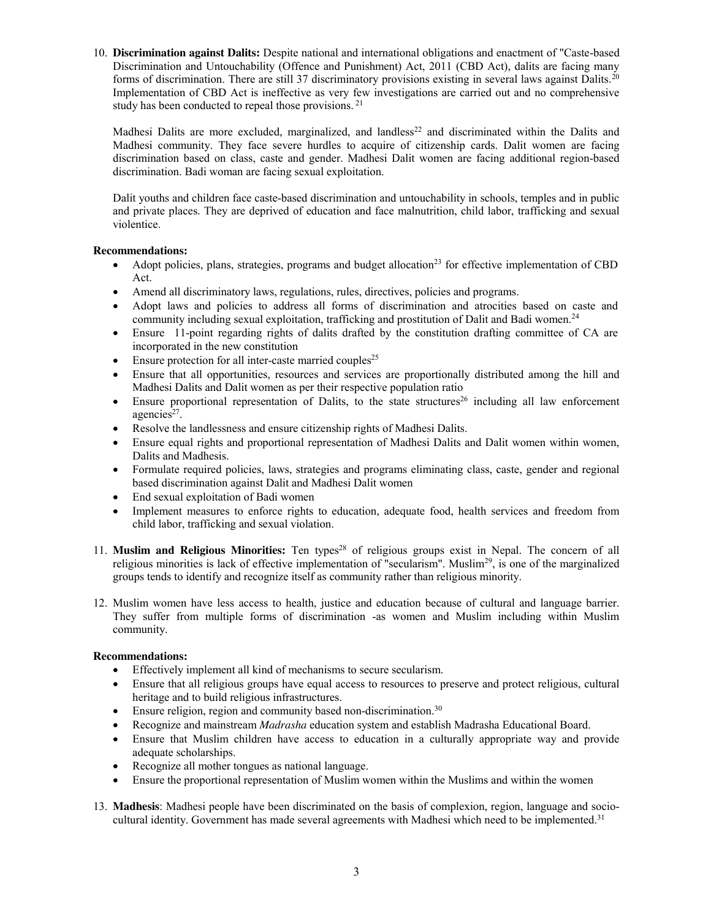10. **Discrimination against Dalits:** Despite national and international obligations and enactment of "Caste-based Discrimination and Untouchability (Offence and Punishment) Act, 2011 (CBD Act), dalits are facing many forms of discrimination. There are still 37 discriminatory provisions existing in several laws against Dalits.<sup>20</sup> Implementation of CBD Act is ineffective as very few investigations are carried out and no comprehensive study has been conducted to repeal those provisions. <sup>21</sup>

Madhesi Dalits are more excluded, marginalized, and landless<sup>22</sup> and discriminated within the Dalits and Madhesi community. They face severe hurdles to acquire of citizenship cards. Dalit women are facing discrimination based on class, caste and gender. Madhesi Dalit women are facing additional region-based discrimination. Badi woman are facing sexual exploitation.

Dalit youths and children face caste-based discrimination and untouchability in schools, temples and in public and private places. They are deprived of education and face malnutrition, child labor, trafficking and sexual violentice.

# **Recommendations:**

- Adopt policies, plans, strategies, programs and budget allocation<sup>23</sup> for effective implementation of CBD Act.
- Amend all discriminatory laws, regulations, rules, directives, policies and programs.
- Adopt laws and policies to address all forms of discrimination and atrocities based on caste and community including sexual exploitation, trafficking and prostitution of Dalit and Badi women.<sup>24</sup>
- Ensure 11-point regarding rights of dalits drafted by the constitution drafting committee of CA are incorporated in the new constitution
- $\bullet$  Ensure protection for all inter-caste married couples<sup>25</sup>
- x Ensure that all opportunities, resources and services are proportionally distributed among the hill and Madhesi Dalits and Dalit women as per their respective population ratio
- Ensure proportional representation of Dalits, to the state structures<sup>26</sup> including all law enforcement agencies<sup>27</sup>.
- Resolve the landlessness and ensure citizenship rights of Madhesi Dalits.
- Ensure equal rights and proportional representation of Madhesi Dalits and Dalit women within women, Dalits and Madhesis.
- Formulate required policies, laws, strategies and programs eliminating class, caste, gender and regional based discrimination against Dalit and Madhesi Dalit women
- End sexual exploitation of Badi women
- Implement measures to enforce rights to education, adequate food, health services and freedom from child labor, trafficking and sexual violation.
- 11. **Muslim and Religious Minorities:** Ten types28 of religious groups exist in Nepal. The concern of all religious minorities is lack of effective implementation of "secularism". Muslim29, is one of the marginalized groups tends to identify and recognize itself as community rather than religious minority.
- 12. Muslim women have less access to health, justice and education because of cultural and language barrier. They suffer from multiple forms of discrimination -as women and Muslim including within Muslim community.

- Effectively implement all kind of mechanisms to secure secularism.
- x Ensure that all religious groups have equal access to resources to preserve and protect religious, cultural heritage and to build religious infrastructures.
- Ensure religion, region and community based non-discrimination.<sup>30</sup>
- x Recognize and mainstream *Madrasha* education system and establish Madrasha Educational Board.
- Ensure that Muslim children have access to education in a culturally appropriate way and provide adequate scholarships.
- Recognize all mother tongues as national language.
- x Ensure the proportional representation of Muslim women within the Muslims and within the women
- 13. **Madhesis**: Madhesi people have been discriminated on the basis of complexion, region, language and sociocultural identity. Government has made several agreements with Madhesi which need to be implemented.<sup>31</sup>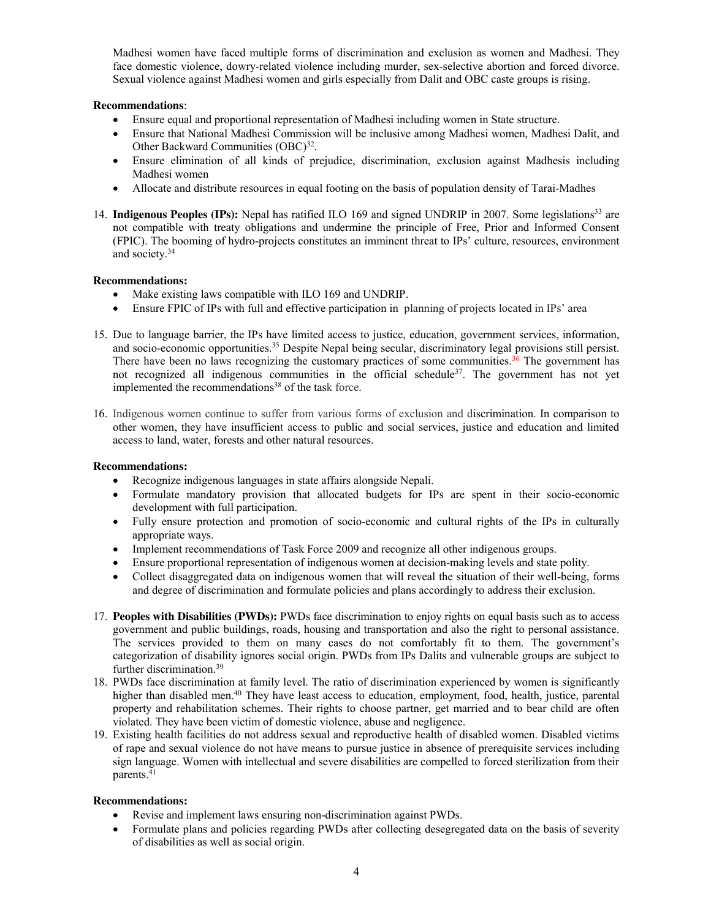Madhesi women have faced multiple forms of discrimination and exclusion as women and Madhesi. They face domestic violence, dowry-related violence including murder, sex-selective abortion and forced divorce. Sexual violence against Madhesi women and girls especially from Dalit and OBC caste groups is rising.

# **Recommendations**:

- Ensure equal and proportional representation of Madhesi including women in State structure.
- x Ensure that National Madhesi Commission will be inclusive among Madhesi women, Madhesi Dalit, and Other Backward Communities (OBC)<sup>32</sup>.
- Ensure elimination of all kinds of prejudice, discrimination, exclusion against Madhesis including Madhesi women
- x Allocate and distribute resources in equal footing on the basis of population density of Tarai-Madhes
- 14. **Indigenous Peoples (IPs):** Nepal has ratified ILO 169 and signed UNDRIP in 2007. Some legislations<sup>33</sup> are not compatible with treaty obligations and undermine the principle of Free, Prior and Informed Consent (FPIC). The booming of hydro-projects constitutes an imminent threat to IPs' culture, resources, environment and society.34

# **Recommendations:**

- Make existing laws compatible with ILO 169 and UNDRIP.
- Ensure FPIC of IPs with full and effective participation in planning of projects located in IPs' area
- 15. Due to language barrier, the IPs have limited access to justice, education, government services, information, and socio-economic opportunities.35 Despite Nepal being secular, discriminatory legal provisions still persist. There have been no laws recognizing the customary practices of some communities.<sup>36</sup> The government has not recognized all indigenous communities in the official schedule<sup>37</sup>. The government has not yet implemented the recommendations<sup>38</sup> of the task force.
- 16. Indigenous women continue to suffer from various forms of exclusion and discrimination. In comparison to other women, they have insufficient access to public and social services, justice and education and limited access to land, water, forests and other natural resources.

# **Recommendations:**

- $\bullet$  Recognize indigenous languages in state affairs alongside Nepali.
- Formulate mandatory provision that allocated budgets for IPs are spent in their socio-economic development with full participation.
- Fully ensure protection and promotion of socio-economic and cultural rights of the IPs in culturally appropriate ways.
- Implement recommendations of Task Force 2009 and recognize all other indigenous groups.
- Ensure proportional representation of indigenous women at decision-making levels and state polity.
- x Collect disaggregated data on indigenous women that will reveal the situation of their well-being, forms and degree of discrimination and formulate policies and plans accordingly to address their exclusion.
- 17. **Peoples with Disabilities (PWDs):** PWDs face discrimination to enjoy rights on equal basis such as to access government and public buildings, roads, housing and transportation and also the right to personal assistance. The services provided to them on many cases do not comfortably fit to them. The government's categorization of disability ignores social origin. PWDs from IPs Dalits and vulnerable groups are subject to further discrimination.<sup>39</sup>
- 18. PWDs face discrimination at family level. The ratio of discrimination experienced by women is significantly higher than disabled men.<sup>40</sup> They have least access to education, employment, food, health, justice, parental property and rehabilitation schemes. Their rights to choose partner, get married and to bear child are often violated. They have been victim of domestic violence, abuse and negligence.
- 19. Existing health facilities do not address sexual and reproductive health of disabled women. Disabled victims of rape and sexual violence do not have means to pursue justice in absence of prerequisite services including sign language. Women with intellectual and severe disabilities are compelled to forced sterilization from their parents. $41$

- Revise and implement laws ensuring non-discrimination against PWDs.
- Formulate plans and policies regarding PWDs after collecting desegregated data on the basis of severity of disabilities as well as social origin.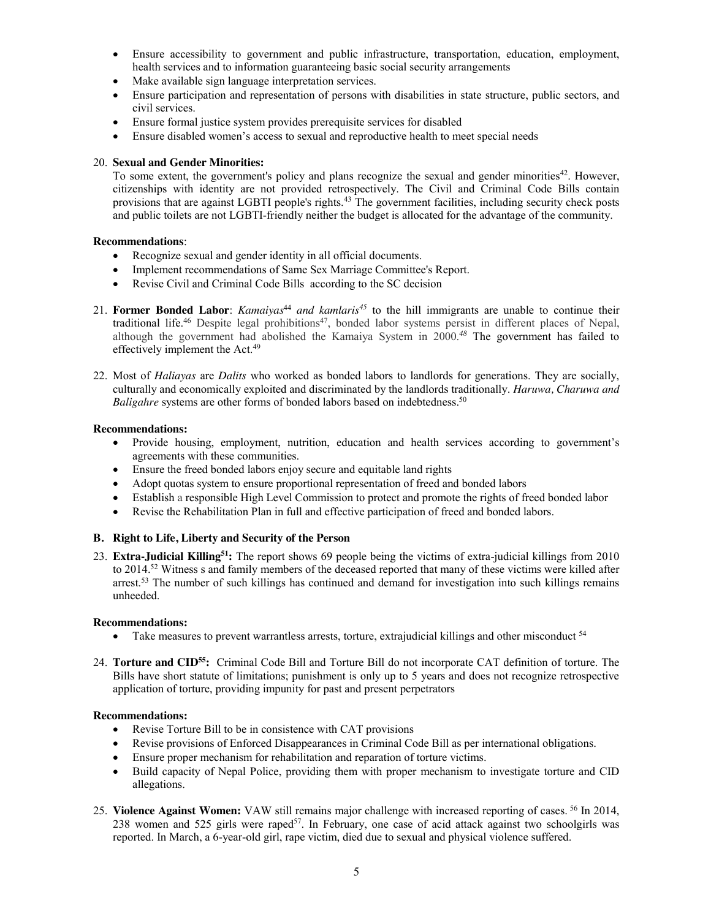- Ensure accessibility to government and public infrastructure, transportation, education, employment, health services and to information guaranteeing basic social security arrangements
- Make available sign language interpretation services.
- Ensure participation and representation of persons with disabilities in state structure, public sectors, and civil services.
- Ensure formal justice system provides prerequisite services for disabled
- Ensure disabled women's access to sexual and reproductive health to meet special needs

## 20. **Sexual and Gender Minorities:**

To some extent, the government's policy and plans recognize the sexual and gender minorities<sup>42</sup>. However, citizenships with identity are not provided retrospectively. The Civil and Criminal Code Bills contain provisions that are against LGBTI people's rights.43 The government facilities, including security check posts and public toilets are not LGBTI-friendly neither the budget is allocated for the advantage of the community.

## **Recommendations**:

- Recognize sexual and gender identity in all official documents.
- Implement recommendations of Same Sex Marriage Committee's Report.
- Revise Civil and Criminal Code Bills according to the SC decision
- 21. **Former Bonded Labor**: *Kamaiyas*<sup>44</sup> *and kamlaris*<sup>45</sup> to the hill immigrants are unable to continue their traditional life.<sup>46</sup> Despite legal prohibitions<sup>47</sup>, bonded labor systems persist in different places of Nepal, although the government had abolished the Kamaiya System in 2000. *<sup>48</sup>* The government has failed to effectively implement the Act.<sup>49</sup>
- 22. Most of *Haliayas* are *Dalits* who worked as bonded labors to landlords for generations. They are socially, culturally and economically exploited and discriminated by the landlords traditionally. *Haruwa, Charuwa and Baligahre* systems are other forms of bonded labors based on indebtedness.<sup>50</sup>

## **Recommendations:**

- Provide housing, employment, nutrition, education and health services according to government's agreements with these communities.
- Ensure the freed bonded labors enjoy secure and equitable land rights
- Adopt quotas system to ensure proportional representation of freed and bonded labors
- Establish a responsible High Level Commission to protect and promote the rights of freed bonded labor
- Revise the Rehabilitation Plan in full and effective participation of freed and bonded labors.

### **B. Right to Life, Liberty and Security of the Person**

23. **Extra-Judicial Killing51:** The report shows 69 people being the victims of extra-judicial killings from 2010 to 2014.52 Witness s and family members of the deceased reported that many of these victims were killed after arrest.<sup>53</sup> The number of such killings has continued and demand for investigation into such killings remains unheeded.

### **Recommendations:**

- Take measures to prevent warrantless arrests, torture, extrajudicial killings and other misconduct <sup>54</sup>
- 24. **Torture and CID55:** Criminal Code Bill and Torture Bill do not incorporate CAT definition of torture. The Bills have short statute of limitations; punishment is only up to 5 years and does not recognize retrospective application of torture, providing impunity for past and present perpetrators

- $\bullet$  Revise Torture Bill to be in consistence with CAT provisions
- x Revise provisions of Enforced Disappearances in Criminal Code Bill as per international obligations.
- Ensure proper mechanism for rehabilitation and reparation of torture victims.
- Build capacity of Nepal Police, providing them with proper mechanism to investigate torture and CID allegations.
- 25. **Violence Against Women:** VAW still remains major challenge with increased reporting of cases. <sup>56</sup> In 2014, 238 women and 525 girls were raped<sup>57</sup>. In February, one case of acid attack against two schoolgirls was reported. In March, a 6-year-old girl, rape victim, died due to sexual and physical violence suffered.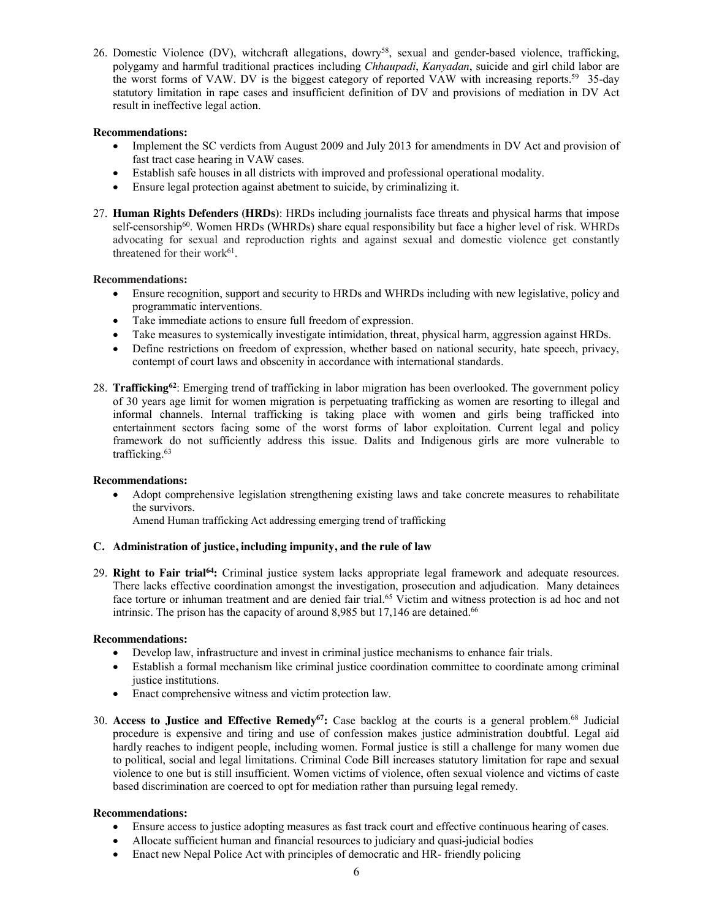26. Domestic Violence (DV), witchcraft allegations, dowry58, sexual and gender-based violence, trafficking, polygamy and harmful traditional practices including *Chhaupadi*, *Kanyadan*, suicide and girl child labor are the worst forms of VAW. DV is the biggest category of reported VAW with increasing reports.59 35-day statutory limitation in rape cases and insufficient definition of DV and provisions of mediation in DV Act result in ineffective legal action.

## **Recommendations:**

- Implement the SC verdicts from August 2009 and July 2013 for amendments in DV Act and provision of fast tract case hearing in VAW cases.
- Establish safe houses in all districts with improved and professional operational modality.
- Ensure legal protection against abetment to suicide, by criminalizing it.
- 27. **Human Rights Defenders (HRDs)**: HRDs including journalists face threats and physical harms that impose self-censorship60. Women HRDs **(**WHRDs) share equal responsibility but face a higher level of risk. WHRDs advocating for sexual and reproduction rights and against sexual and domestic violence get constantly threatened for their work<sup>61</sup>.

## **Recommendations:**

- Ensure recognition, support and security to HRDs and WHRDs including with new legislative, policy and programmatic interventions.
- Take immediate actions to ensure full freedom of expression.
- Take measures to systemically investigate intimidation, threat, physical harm, aggression against HRDs.
- Define restrictions on freedom of expression, whether based on national security, hate speech, privacy, contempt of court laws and obscenity in accordance with international standards.
- 28. **Trafficking62**: Emerging trend of trafficking in labor migration has been overlooked. The government policy of 30 years age limit for women migration is perpetuating trafficking as women are resorting to illegal and informal channels. Internal trafficking is taking place with women and girls being trafficked into entertainment sectors facing some of the worst forms of labor exploitation. Current legal and policy framework do not sufficiently address this issue. Dalits and Indigenous girls are more vulnerable to trafficking.63

### **Recommendations:**

Adopt comprehensive legislation strengthening existing laws and take concrete measures to rehabilitate the survivors.

Amend Human trafficking Act addressing emerging trend of trafficking

# **C. Administration of justice, including impunity, and the rule of law**

29. **Right to Fair trial64:** Criminal justice system lacks appropriate legal framework and adequate resources. There lacks effective coordination amongst the investigation, prosecution and adjudication. Many detainees face torture or inhuman treatment and are denied fair trial.<sup>65</sup> Victim and witness protection is ad hoc and not intrinsic. The prison has the capacity of around 8,985 but 17,146 are detained.<sup>66</sup>

### **Recommendations:**

- Develop law, infrastructure and invest in criminal justice mechanisms to enhance fair trials.
- Establish a formal mechanism like criminal justice coordination committee to coordinate among criminal justice institutions.
- Enact comprehensive witness and victim protection law.
- 30. **Access to Justice and Effective Remedy67:** Case backlog at the courts is a general problem.68 Judicial procedure is expensive and tiring and use of confession makes justice administration doubtful. Legal aid hardly reaches to indigent people, including women. Formal justice is still a challenge for many women due to political, social and legal limitations. Criminal Code Bill increases statutory limitation for rape and sexual violence to one but is still insufficient. Women victims of violence, often sexual violence and victims of caste based discrimination are coerced to opt for mediation rather than pursuing legal remedy.

- Ensure access to justice adopting measures as fast track court and effective continuous hearing of cases.
- x Allocate sufficient human and financial resources to judiciary and quasi-judicial bodies
- Enact new Nepal Police Act with principles of democratic and HR- friendly policing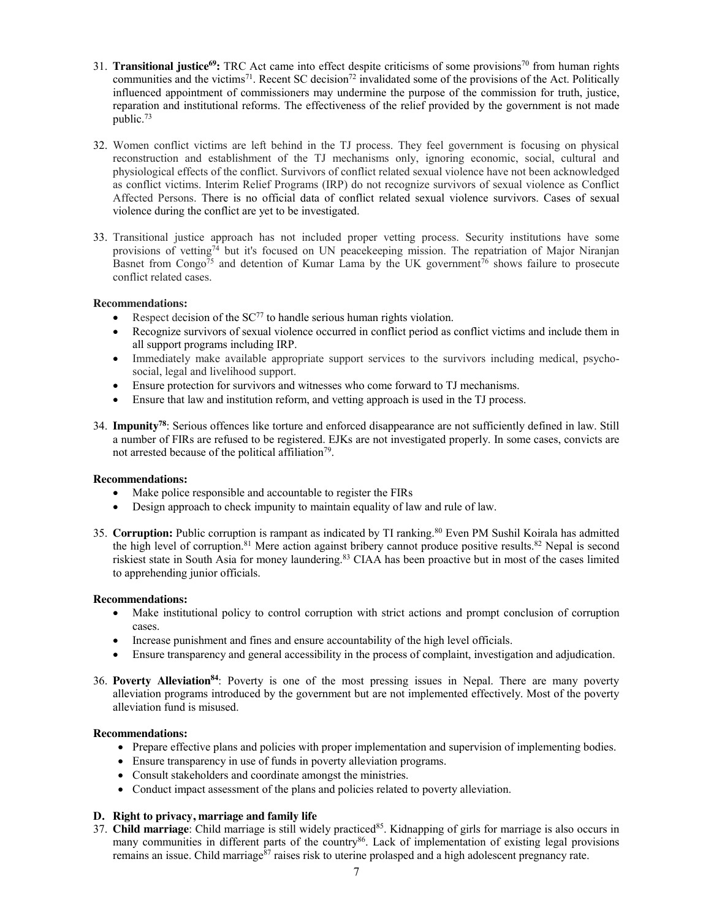- 31. **Transitional justice69:** TRC Act came into effect despite criticisms of some provisions70 from human rights communities and the victims<sup>71</sup>. Recent SC decision<sup>72</sup> invalidated some of the provisions of the Act. Politically influenced appointment of commissioners may undermine the purpose of the commission for truth, justice, reparation and institutional reforms. The effectiveness of the relief provided by the government is not made public.73
- 32. Women conflict victims are left behind in the TJ process. They feel government is focusing on physical reconstruction and establishment of the TJ mechanisms only, ignoring economic, social, cultural and physiological effects of the conflict. Survivors of conflict related sexual violence have not been acknowledged as conflict victims. Interim Relief Programs (IRP) do not recognize survivors of sexual violence as Conflict Affected Persons. There is no official data of conflict related sexual violence survivors. Cases of sexual violence during the conflict are yet to be investigated.
- 33. Transitional justice approach has not included proper vetting process. Security institutions have some provisions of vetting<sup>74</sup> but it's focused on UN peacekeeping mission. The repatriation of Major Niranjan Basnet from Congo<sup>75</sup> and detention of Kumar Lama by the UK government<sup>76</sup> shows failure to prosecute conflict related cases.

# **Recommendations:**

- Respect decision of the  $SC^{77}$  to handle serious human rights violation.
- Recognize survivors of sexual violence occurred in conflict period as conflict victims and include them in all support programs including IRP.
- Immediately make available appropriate support services to the survivors including medical, psychosocial, legal and livelihood support.
- Ensure protection for survivors and witnesses who come forward to TJ mechanisms.
- Ensure that law and institution reform, and vetting approach is used in the TJ process.
- 34. **Impunity78**: Serious offences like torture and enforced disappearance are not sufficiently defined in law. Still a number of FIRs are refused to be registered. EJKs are not investigated properly. In some cases, convicts are not arrested because of the political affiliation<sup>79</sup>.

### **Recommendations:**

- Make police responsible and accountable to register the FIRs
- Design approach to check impunity to maintain equality of law and rule of law.
- 35. **Corruption:** Public corruption is rampant as indicated by TI ranking.80 Even PM Sushil Koirala has admitted the high level of corruption.<sup>81</sup> Mere action against bribery cannot produce positive results.<sup>82</sup> Nepal is second riskiest state in South Asia for money laundering.83 CIAA has been proactive but in most of the cases limited to apprehending junior officials.

### **Recommendations:**

- Make institutional policy to control corruption with strict actions and prompt conclusion of corruption cases.
- Increase punishment and fines and ensure accountability of the high level officials.
- Ensure transparency and general accessibility in the process of complaint, investigation and adjudication.
- 36. **Poverty Alleviation84**: Poverty is one of the most pressing issues in Nepal. There are many poverty alleviation programs introduced by the government but are not implemented effectively. Most of the poverty alleviation fund is misused.

### **Recommendations:**

- Prepare effective plans and policies with proper implementation and supervision of implementing bodies.
- Ensure transparency in use of funds in poverty alleviation programs.
- Consult stakeholders and coordinate amongst the ministries.
- Conduct impact assessment of the plans and policies related to poverty alleviation.

# **D. Right to privacy, marriage and family life**

37. **Child marriage**: Child marriage is still widely practiced<sup>85</sup>. Kidnapping of girls for marriage is also occurs in many communities in different parts of the country<sup>86</sup>. Lack of implementation of existing legal provisions remains an issue. Child marriage<sup>87</sup> raises risk to uterine prolasped and a high adolescent pregnancy rate.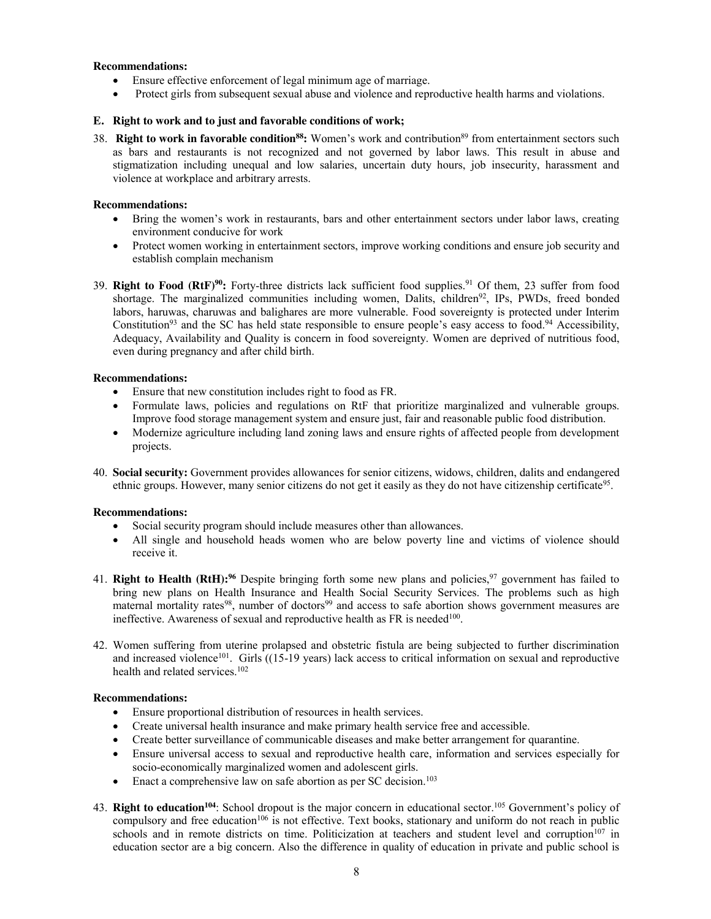## **Recommendations:**

- Ensure effective enforcement of legal minimum age of marriage.
- Protect girls from subsequent sexual abuse and violence and reproductive health harms and violations.

# **E. Right to work and to just and favorable conditions of work;**

38. **Right to work in favorable condition88:** Women's work and contribution<sup>89</sup> from entertainment sectors such as bars and restaurants is not recognized and not governed by labor laws. This result in abuse and stigmatization including unequal and low salaries, uncertain duty hours, job insecurity, harassment and violence at workplace and arbitrary arrests.

## **Recommendations:**

- Bring the women's work in restaurants, bars and other entertainment sectors under labor laws, creating environment conducive for work
- Protect women working in entertainment sectors, improve working conditions and ensure job security and establish complain mechanism
- 39. **Right to Food (RtF)90:** Forty-three districts lack sufficient food supplies.91 Of them, 23 suffer from food shortage. The marginalized communities including women, Dalits, children<sup>92</sup>, IPs, PWDs, freed bonded labors, haruwas, charuwas and balighares are more vulnerable. Food sovereignty is protected under Interim Constitution<sup>93</sup> and the SC has held state responsible to ensure people's easy access to food.<sup>94</sup> Accessibility, Adequacy, Availability and Quality is concern in food sovereignty. Women are deprived of nutritious food, even during pregnancy and after child birth.

## **Recommendations:**

- Ensure that new constitution includes right to food as FR.
- Formulate laws, policies and regulations on RtF that prioritize marginalized and vulnerable groups. Improve food storage management system and ensure just, fair and reasonable public food distribution.
- x Modernize agriculture including land zoning laws and ensure rights of affected people from development projects.
- 40. **Social security:** Government provides allowances for senior citizens, widows, children, dalits and endangered ethnic groups. However, many senior citizens do not get it easily as they do not have citizenship certificate<sup>95</sup>.

# **Recommendations:**

- Social security program should include measures other than allowances.
- All single and household heads women who are below poverty line and victims of violence should receive it.
- 41. **Right to Health (RtH):**<sup>96</sup> Despite bringing forth some new plans and policies,<sup>97</sup> government has failed to bring new plans on Health Insurance and Health Social Security Services. The problems such as high maternal mortality rates<sup>98</sup>, number of doctors<sup>99</sup> and access to safe abortion shows government measures are ineffective. Awareness of sexual and reproductive health as FR is needed<sup>100</sup>.
- 42. Women suffering from uterine prolapsed and obstetric fistula are being subjected to further discrimination and increased violence<sup>101</sup>. Girls ((15-19 years) lack access to critical information on sexual and reproductive health and related services.<sup>102</sup>

- Ensure proportional distribution of resources in health services.
- Create universal health insurance and make primary health service free and accessible.
- x Create better surveillance of communicable diseases and make better arrangement for quarantine.
- Ensure universal access to sexual and reproductive health care, information and services especially for socio-economically marginalized women and adolescent girls.
- Enact a comprehensive law on safe abortion as per SC decision.<sup>103</sup>
- 43. Right to education<sup>104</sup>: School dropout is the major concern in educational sector.<sup>105</sup> Government's policy of compulsory and free education<sup>106</sup> is not effective. Text books, stationary and uniform do not reach in public schools and in remote districts on time. Politicization at teachers and student level and corruption<sup>107</sup> in education sector are a big concern. Also the difference in quality of education in private and public school is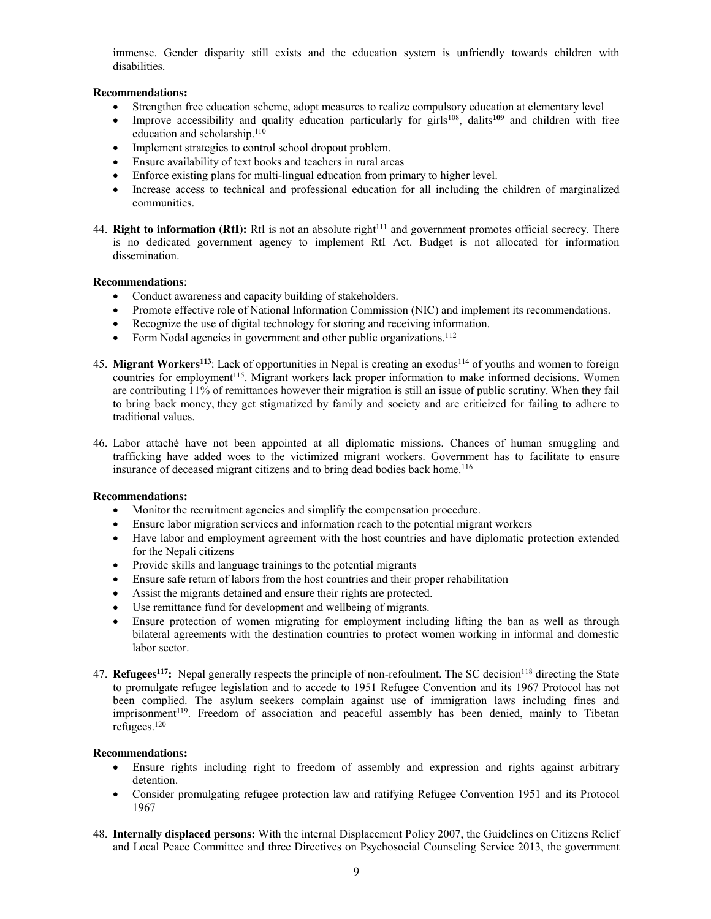immense. Gender disparity still exists and the education system is unfriendly towards children with disabilities.

## **Recommendations:**

- x Strengthen free education scheme, adopt measures to realize compulsory education at elementary level
- Improve accessibility and quality education particularly for girls<sup>108</sup>, dalits<sup>109</sup> and children with free education and scholarship.<sup>110</sup>
- Implement strategies to control school dropout problem.
- Ensure availability of text books and teachers in rural areas
- Enforce existing plans for multi-lingual education from primary to higher level.
- Increase access to technical and professional education for all including the children of marginalized communities.
- 44. **Right to information (RtI):** RtI is not an absolute right<sup>111</sup> and government promotes official secrecy. There is no dedicated government agency to implement RtI Act. Budget is not allocated for information dissemination.

### **Recommendations**:

- Conduct awareness and capacity building of stakeholders.
- Promote effective role of National Information Commission (NIC) and implement its recommendations.
- Recognize the use of digital technology for storing and receiving information.
- Form Nodal agencies in government and other public organizations.<sup>112</sup>
- 45. **Migrant Workers**<sup>113</sup>: Lack of opportunities in Nepal is creating an exodus<sup>114</sup> of youths and women to foreign countries for employment<sup>115</sup>. Migrant workers lack proper information to make informed decisions. Women are contributing 11% of remittances however their migration is still an issue of public scrutiny. When they fail to bring back money, they get stigmatized by family and society and are criticized for failing to adhere to traditional values.
- 46. Labor attaché have not been appointed at all diplomatic missions. Chances of human smuggling and trafficking have added woes to the victimized migrant workers. Government has to facilitate to ensure insurance of deceased migrant citizens and to bring dead bodies back home.<sup>116</sup>

### **Recommendations:**

- Monitor the recruitment agencies and simplify the compensation procedure.
- Ensure labor migration services and information reach to the potential migrant workers
- Have labor and employment agreement with the host countries and have diplomatic protection extended for the Nepali citizens
- Provide skills and language trainings to the potential migrants
- Ensure safe return of labors from the host countries and their proper rehabilitation
- Assist the migrants detained and ensure their rights are protected.
- Use remittance fund for development and wellbeing of migrants.
- Ensure protection of women migrating for employment including lifting the ban as well as through bilateral agreements with the destination countries to protect women working in informal and domestic labor sector.
- 47. **Refugees<sup>117</sup>:** Nepal generally respects the principle of non-refoulment. The SC decision<sup>118</sup> directing the State to promulgate refugee legislation and to accede to 1951 Refugee Convention and its 1967 Protocol has not been complied. The asylum seekers complain against use of immigration laws including fines and imprisonment<sup>119</sup>. Freedom of association and peaceful assembly has been denied, mainly to Tibetan refugees.120

- Ensure rights including right to freedom of assembly and expression and rights against arbitrary detention.
- Consider promulgating refugee protection law and ratifying Refugee Convention 1951 and its Protocol 1967
- 48. **Internally displaced persons:** With the internal Displacement Policy 2007, the Guidelines on Citizens Relief and Local Peace Committee and three Directives on Psychosocial Counseling Service 2013, the government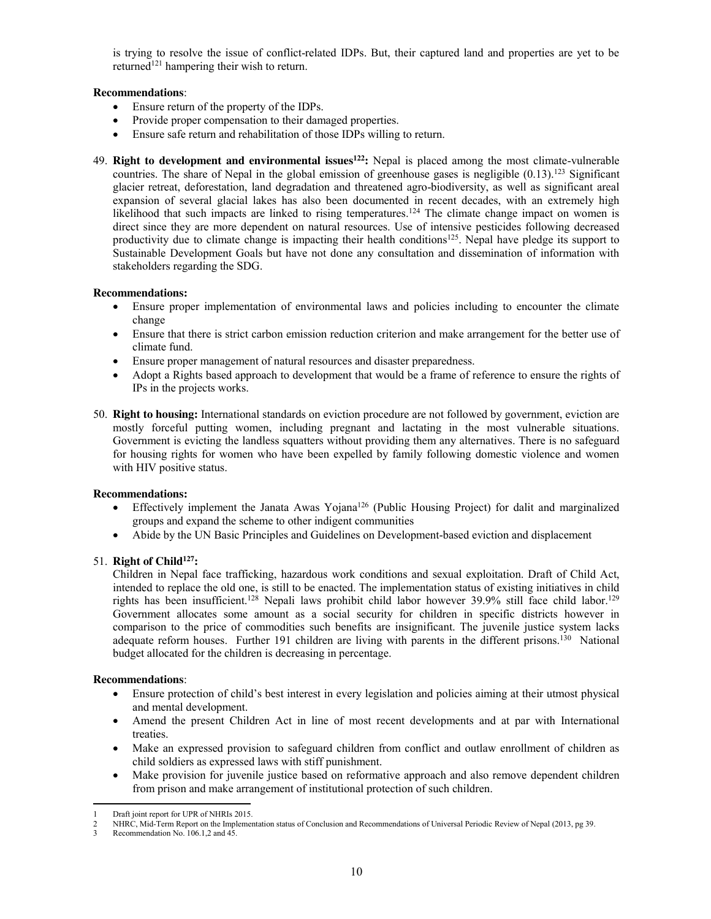is trying to resolve the issue of conflict-related IDPs. But, their captured land and properties are yet to be returned<sup>121</sup> hampering their wish to return.

## **Recommendations**:

- Ensure return of the property of the IDPs.
- Provide proper compensation to their damaged properties.
- Ensure safe return and rehabilitation of those IDPs willing to return.
- 49. **Right to development and environmental issues122:** Nepal is placed among the most climate-vulnerable countries. The share of Nepal in the global emission of greenhouse gases is negligible  $(0.13)$ .<sup>123</sup> Significant glacier retreat, deforestation, land degradation and threatened agro-biodiversity, as well as significant areal expansion of several glacial lakes has also been documented in recent decades, with an extremely high likelihood that such impacts are linked to rising temperatures.<sup>124</sup> The climate change impact on women is direct since they are more dependent on natural resources. Use of intensive pesticides following decreased productivity due to climate change is impacting their health conditions<sup>125</sup>. Nepal have pledge its support to Sustainable Development Goals but have not done any consultation and dissemination of information with stakeholders regarding the SDG.

## **Recommendations:**

- Ensure proper implementation of environmental laws and policies including to encounter the climate change
- Ensure that there is strict carbon emission reduction criterion and make arrangement for the better use of climate fund.
- Ensure proper management of natural resources and disaster preparedness.
- Adopt a Rights based approach to development that would be a frame of reference to ensure the rights of IPs in the projects works.
- 50. **Right to housing:** International standards on eviction procedure are not followed by government, eviction are mostly forceful putting women, including pregnant and lactating in the most vulnerable situations. Government is evicting the landless squatters without providing them any alternatives. There is no safeguard for housing rights for women who have been expelled by family following domestic violence and women with HIV positive status.

### **Recommendations:**

- $\bullet$  Effectively implement the Janata Awas Yojana<sup>126</sup> (Public Housing Project) for dalit and marginalized groups and expand the scheme to other indigent communities
- Abide by the UN Basic Principles and Guidelines on Development-based eviction and displacement

# 51. **Right of Child127:**

Children in Nepal face trafficking, hazardous work conditions and sexual exploitation. Draft of Child Act, intended to replace the old one, is still to be enacted. The implementation status of existing initiatives in child rights has been insufficient.<sup>128</sup> Nepali laws prohibit child labor however 39.9% still face child labor.<sup>129</sup> Government allocates some amount as a social security for children in specific districts however in comparison to the price of commodities such benefits are insignificant. The juvenile justice system lacks adequate reform houses. Further 191 children are living with parents in the different prisons.<sup>130</sup> National budget allocated for the children is decreasing in percentage.

- x Ensure protection of child's best interest in every legislation and policies aiming at their utmost physical and mental development.
- x Amend the present Children Act in line of most recent developments and at par with International treaties.
- Make an expressed provision to safeguard children from conflict and outlaw enrollment of children as child soldiers as expressed laws with stiff punishment.
- Make provision for juvenile justice based on reformative approach and also remove dependent children from prison and make arrangement of institutional protection of such children.

 $\overline{a}$ Draft joint report for UPR of NHRIs 2015.

<sup>2</sup> NHRC, Mid-Term Report on the Implementation status of Conclusion and Recommendations of Universal Periodic Review of Nepal (2013, pg 39.

<sup>3</sup> Recommendation No. 106.1,2 and 45.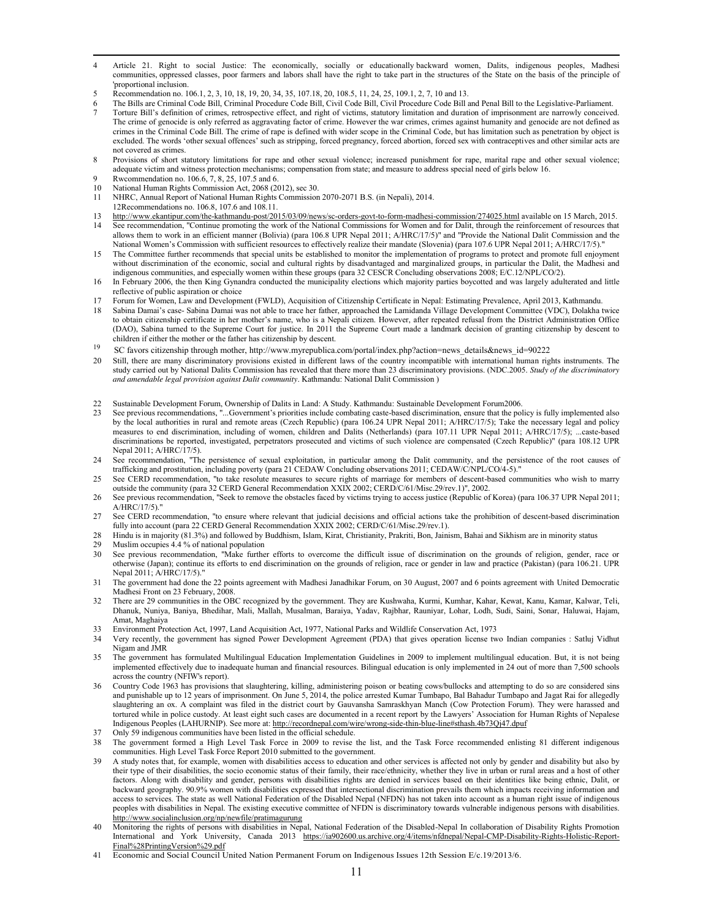- l 4 Article 21. Right to social Justice: The economically, socially or educationally backward women, Dalits, indigenous peoples, Madhesi communities, oppressed classes, poor farmers and labors shall have the right to take part in the structures of the State on the basis of the principle of 'proportional inclusion.
- 5 Recommendation no. 106.1, 2, 3, 10, 18, 19, 20, 34, 35, 107.18, 20, 108.5, 11, 24, 25, 109.1, 2, 7, 10 and 13.
- 6 The Bills are Criminal Code Bill, Criminal Procedure Code Bill, Civil Code Bill, Civil Procedure Code Bill and Penal Bill to the Legislative-Parliament.
- 7 Torture Bill's definition of crimes, retrospective effect, and right of victims, statutory limitation and duration of imprisonment are narrowly conceived. The crime of genocide is only referred as aggravating factor of crime. However the war crimes, crimes against humanity and genocide are not defined as crimes in the Criminal Code Bill. The crime of rape is defined with wider scope in the Criminal Code, but has limitation such as penetration by object is excluded. The words 'other sexual offences' such as stripping, forced pregnancy, forced abortion, forced sex with contraceptives and other similar acts are not covered as crimes.
- 8 Provisions of short statutory limitations for rape and other sexual violence; increased punishment for rape, marital rape and other sexual violence; adequate victim and witness protection mechanisms; compensation from state; and measure to address special need of girls below 16.
- Rwcommendation no. 106.6, 7, 8, 25, 107.5 and 6. 10 National Human Rights Commission Act, 2068 (2012), sec 30.
- 11 NHRC, Annual Report of National Human Rights Commission 2070-2071 B.S. (in Nepali), 2014.
- 12Recommendations no. 106.8, 107.6 and 108.11.
- 13 http://www.ekantipur.com/the-kathmandu-post/2015/03/09/news/sc-orders-govt-to-form-madhesi-commission/274025.html available on 15 March, 2015. 14 See recommendation, "Continue promoting the work of the National Commissions for Women and for Dalit, through the reinforcement of resources that allows them to work in an efficient manner (Bolivia) (para 106.8 UPR Nepal 2011; A/HRC/17/5)" and "Provide the National Dalit Commission and the National Women's Commission with sufficient resources to effectively realize their mandate (Slovenia) (para 107.6 UPR Nepal 2011; A/HRC/17/5)."
- The Committee further recommends that special units be established to monitor the implementation of programs to protect and promote full enjoyment without discrimination of the economic, social and cultural rights by disadvantaged and marginalized groups, in particular the Dalit, the Madhesi and indigenous communities, and especially women within these groups (para 32 CESCR Concluding observations 2008; E/C.12/NPL/CO/2).
- 16 In February 2006, the then King Gynandra conducted the municipality elections which majority parties boycotted and was largely adulterated and little reflective of public aspiration or choice
- 17 Forum for Women, Law and Development (FWLD), Acquisition of Citizenship Certificate in Nepal: Estimating Prevalence, April 2013, Kathmandu.
- 18 Sabina Damai's case- Sabina Damai was not able to trace her father, approached the Lamidanda Village Development Committee (VDC), Dolakha twice to obtain citizenship certificate in her mother's name, who is a Nepali citizen. However, after repeated refusal from the District Administration Office (DAO), Sabina turned to the Supreme Court for justice. In 2011 the Supreme Court made a landmark decision of granting citizenship by descent to children if either the mother or the father has citizenship by descent.
- 19 SC favors citizenship through mother, http://www.myrepublica.com/portal/index.php?action=news\_details&news\_id=90222
- 20 Still, there are many discriminatory provisions existed in different laws of the country incompatible with international human rights instruments. The study carried out by National Dalits Commission has revealed that there more than 23 discriminatory provisions. (NDC.2005. *Study of the discriminatory and amendable legal provision against Dalit community*. Kathmandu: National Dalit Commission )
- 22 Sustainable Development Forum, Ownership of Dalits in Land: A Study. Kathmandu: Sustainable Development Forum2006.
- 23 See previous recommendations, "...Government's priorities include combating caste-based discrimination, ensure that the policy is fully implemented also by the local authorities in rural and remote areas (Czech Republic) (para 106.24 UPR Nepal 2011; A/HRC/17/5); Take the necessary legal and policy measures to end discrimination, including of women, children and Dalits (Netherlands) (para 107.11 UPR Nepal 2011; A/HRC/17/5); ...caste-based discriminations be reported, investigated, perpetrators prosecuted and victims of such violence are compensated (Czech Republic)" (para 108.12 UPR Nepal 2011; A/HRC/17/5).
- 24 See recommendation, "The persistence of sexual exploitation, in particular among the Dalit community, and the persistence of the root causes of trafficking and prostitution, including poverty (para 21 CEDAW Concluding observations 2011; CEDAW/C/NPL/CO/4-5)."
- 25 See CERD recommendation, "to take resolute measures to secure rights of marriage for members of descent-based communities who wish to marry outside the community (para 32 CERD General Recommendation XXIX 2002; CERD/C/61/Misc.29/rev.1)", 2002.
- 26 See previous recommendation, "Seek to remove the obstacles faced by victims trying to access justice (Republic of Korea) (para 106.37 UPR Nepal 2011; A/HRC/17/5)."
- 27 See CERD recommendation, "to ensure where relevant that judicial decisions and official actions take the prohibition of descent-based discrimination fully into account (para 22 CERD General Recommendation XXIX 2002; CERD/C/61/Misc.29/rev.1).
- 28 Hindu is in majority (81.3%) and followed by Buddhism, Islam, Kirat, Christianity, Prakriti, Bon, Jainism, Bahai and Sikhism are in minority status<br>29 Muslim occupies 4.4% of national population
- Muslim occupies 4.4 % of national population
- 30 See previous recommendation, "Make further efforts to overcome the difficult issue of discrimination on the grounds of religion, gender, race or otherwise (Japan); continue its efforts to end discrimination on the grounds of religion, race or gender in law and practice (Pakistan) (para 106.21. UPR Nepal 2011; A/HRC/17/5)."
- 31 The government had done the 22 points agreement with Madhesi Janadhikar Forum, on 30 August, 2007 and 6 points agreement with United Democratic Madhesi Front on 23 February, 2008.
- 32 There are 29 communities in the OBC recognized by the government. They are Kushwaha, Kurmi, Kumhar, Kahar, Kewat, Kanu, Kamar, Kalwar, Teli, Dhanuk, Nuniya, Baniya, Bhedihar, Mali, Mallah, Musalman, Baraiya, Yadav, Rajbhar, Rauniyar, Lohar, Lodh, Sudi, Saini, Sonar, Haluwai, Hajam, Amat, Maghaiya
- 33 Environment Protection Act, 1997, Land Acquisition Act, 1977, National Parks and Wildlife Conservation Act, 1973
- 34 Very recently, the government has signed Power Development Agreement (PDA) that gives operation license two Indian companies : Satluj Vidhut Nigam and JMR
- 35 The government has formulated Multilingual Education Implementation Guidelines in 2009 to implement multilingual education. But, it is not being implemented effectively due to inadequate human and financial resources. Bilingual education is only implemented in 24 out of more than 7,500 schools across the country (NFIW's report).
- 36 Country Code 1963 has provisions that slaughtering, killing, administering poison or beating cows/bullocks and attempting to do so are considered sins and punishable up to 12 years of imprisonment. On June 5, 2014, the police arrested Kumar Tumbapo, Bal Bahadur Tumbapo and Jagat Rai for allegedly slaughtering an ox. A complaint was filed in the district court by Gauvansha Samraskhyan Manch (Cow Protection Forum). They were harassed and tortured while in police custody. At least eight such cases are documented in a recent report by the Lawyers' Association for Human Rights of Nepalese Indigenous Peoples (LAHURNIP). See more at: http://recordnepal.com/wire/wrong-side-thin-blue-line#sthash.4b73Qj47.dpuf
- Only 59 indigenous communities have been listed in the official schedule.
- 38 The government formed a High Level Task Force in 2009 to revise the list, and the Task Force recommended enlisting 81 different indigenous communities. High Level Task Force Report 2010 submitted to the government.
- 39 A study notes that, for example, women with disabilities access to education and other services is affected not only by gender and disability but also by their type of their disabilities, the socio economic status of their family, their race/ethnicity, whether they live in urban or rural areas and a host of other factors. Along with disability and gender, persons with disabilities rights are denied in services based on their identities like being ethnic, Dalit, or backward geography. 90.9% women with disabilities expressed that intersectional discrimination prevails them which impacts receiving information and access to services. The state as well National Federation of the Disabled Nepal (NFDN) has not taken into account as a human right issue of indigenous peoples with disabilities in Nepal. The existing executive committee of NFDN is discriminatory towards vulnerable indigenous persons with disabilities. http://www.socialinclusion.org/np/newfile/pratimagurung
- 40 Monitoring the rights of persons with disabilities in Nepal, National Federation of the Disabled-Nepal In collaboration of Disability Rights Promotion International and York University, Canada 2013 https://ia902600.us.archive.org/4/items/nfdnepal/Nepal-CMP-Disability-Rights-Holistic-Report-Final%28PrintingVersion%29.pdf
- 41 Economic and Social Council United Nation Permanent Forum on Indigenous Issues 12th Session E/c.19/2013/6.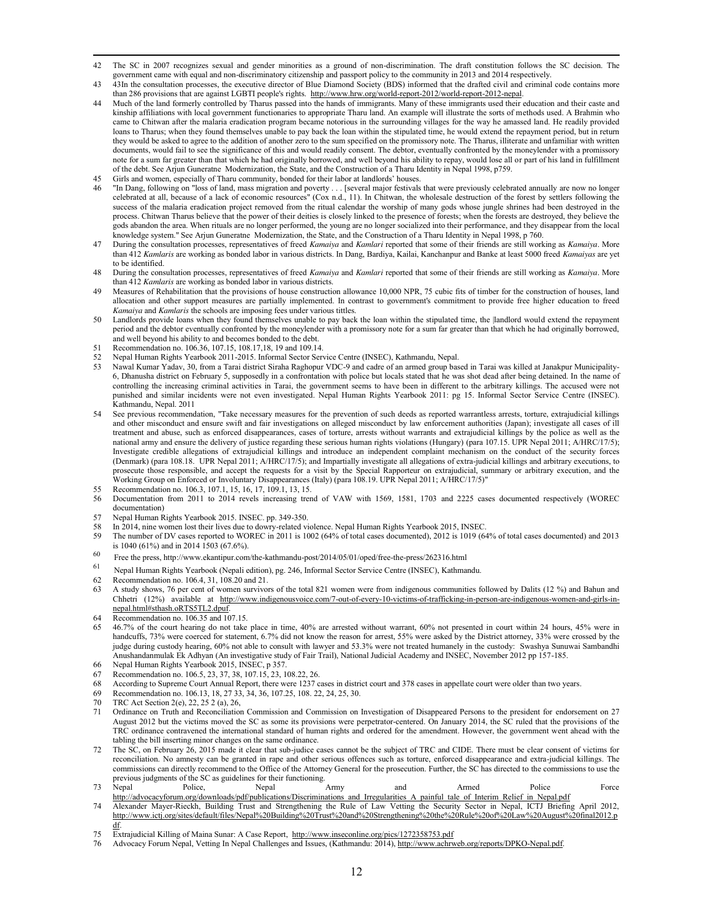- l 42 The SC in 2007 recognizes sexual and gender minorities as a ground of non-discrimination. The draft constitution follows the SC decision. The government came with equal and non-discriminatory citizenship and passport policy to the community in 2013 and 2014 respectively.
- 43 <sup>43</sup>In the consultation processes, the executive director of Blue Diamond Society (BDS) informed that the drafted civil and criminal code contains more than 286 provisions that are against LGBTI people's rights. http://www.hrw.org/world-report-2012/world-report-2012-nepal.
- 44 Much of the land formerly controlled by Tharus passed into the hands of immigrants. Many of these immigrants used their education and their caste and kinship affiliations with local government functionaries to appropriate Tharu land. An example will illustrate the sorts of methods used. A Brahmin who came to Chitwan after the malaria eradication program became notorious in the surrounding villages for the way he amassed land. He readily provided loans to Tharus; when they found themselves unable to pay back the loan within the stipulated time, he would extend the repayment period, but in return they would be asked to agree to the addition of another zero to the sum specified on the promissory note. The Tharus, illiterate and unfamiliar with written documents, would fail to see the significance of this and would readily consent. The debtor, eventually confronted by the moneylender with a promissory note for a sum far greater than that which he had originally borrowed, and well beyond his ability to repay, would lose all or part of his land in fulfillment of the debt. See Arjun Guneratne Modernization, the State, and the Construction of a Tharu Identity in Nepal 1998, p759. 45 Girls and women, especially of Tharu community, bonded for their labor at landlords' houses.
- 46 "In Dang, following on "loss of land, mass migration and poverty . . . [several major festivals that were previously celebrated annually are now no longer celebrated at all, because of a lack of economic resources" (Cox n.d., 11). In Chitwan, the wholesale destruction of the forest by settlers following the success of the malaria eradication project removed from the ritual calendar the worship of many gods whose jungle shrines had been destroyed in the process. Chitwan Tharus believe that the power of their deities is closely linked to the presence of forests; when the forests are destroyed, they believe the
- gods abandon the area. When rituals are no longer performed, the young are no longer socialized into their performance, and they disappear from the local knowledge system." See Arjun Guneratne Modernization, the State, and the Construction of a Tharu Identity in Nepal 1998, p 760. 47 During the consultation processes, representatives of freed *Kamaiya* and *Kamlari* reported that some of their friends are still working as *Kamaiya*. More than 412 *Kamlaris* are working as bonded labor in various districts. In Dang, Bardiya, Kailai, Kanchanpur and Banke at least 5000 freed *Kamaiyas* are yet
- to be identified. 48 During the consultation processes, representatives of freed *Kamaiya* and *Kamlari* reported that some of their friends are still working as *Kamaiya*. More than 412 *Kamlaris* are working as bonded labor in various districts.
- Measures of Rehabilitation that the provisions of house construction allowance 10,000 NPR, 75 cubic fits of timber for the construction of houses, land allocation and other support measures are partially implemented. In contrast to government's commitment to provide free higher education to freed *Kamaiya* and *Kamlaris* the schools are imposing fees under various tittles.
- 50 Landlords provide loans when they found themselves unable to pay back the loan within the stipulated time, the |landlord would extend the repayment period and the debtor eventually confronted by the moneylender with a promissory note for a sum far greater than that which he had originally borrowed, and well beyond his ability to and becomes bonded to the debt.
- 51 Recommendation no. 106.36, 107.15, 108.17,18, 19 and 109.14.
- 52 Nepal Human Rights Yearbook 2011-2015. Informal Sector Service Centre (INSEC), Kathmandu, Nepal.
- 53 Nawal Kumar Yadav, 30, from a Tarai district Siraha Raghopur VDC-9 and cadre of an armed group based in Tarai was killed at Janakpur Municipality-6, Dhanusha district on February 5, supposedly in a confrontation with police but locals stated that he was shot dead after being detained. In the name of controlling the increasing criminal activities in Tarai, the government seems to have been in different to the arbitrary killings. The accused were not punished and similar incidents were not even investigated. Nepal Human Rights Yearbook 2011: pg 15. Informal Sector Service Centre (INSEC). .<br>Kathmandu, Nepal. 2011
- See previous recommendation, "Take necessary measures for the prevention of such deeds as reported warrantless arrests, torture, extrajudicial killings and other misconduct and ensure swift and fair investigations on alleged misconduct by law enforcement authorities (Japan); investigate all cases of ill treatment and abuse, such as enforced disappearances, cases of torture, arrests without warrants and extrajudicial killings by the police as well as the national army and ensure the delivery of justice regarding these serious human rights violations (Hungary) (para 107.15. UPR Nepal 2011; A/HRC/17/5); Investigate credible allegations of extrajudicial killings and introduce an independent complaint mechanism on the conduct of the security forces (Denmark) (para 108.18. UPR Nepal 2011; A/HRC/17/5); and Impartially investigate all allegations of extra-judicial killings and arbitrary executions, to prosecute those responsible, and accept the requests for a visit by the Special Rapporteur on extrajudicial, summary or arbitrary execution, and the Working Group on Enforced or Involuntary Disappearances (Italy) (para 108.19. UPR Nepal 2011; A/HRC/17/5)"
- 55 Recommendation no. 106.3, 107.1, 15, 16, 17, 109.1, 13, 15.
- 56 Documentation from 2011 to 2014 revels increasing trend of VAW with 1569, 1581, 1703 and 2225 cases documented respectively (WOREC documentation)
- 57 Nepal Human Rights Yearbook 2015. INSEC. pp. 349-350.
- 58 In 2014, nine women lost their lives due to dowry-related violence. Nepal Human Rights Yearbook 2015, INSEC.<br>59 The number of DV cases renorted to WOREC in 2011 is 1002 (64% of total cases documented) 2012 is 1019 (6
- 59 The number of DV cases reported to WOREC in 2011 is 1002 (64% of total cases documented), 2012 is 1019 (64% of total cases documented) and 2013 is 1040 (61%) and in 2014 1503 (67.6%).
- <sup>60</sup> Free the press, http://www.ekantipur.com/the-kathmandu-post/2014/05/01/oped/free-the-press/262316.html
- 61 Nepal Human Rights Yearbook (Nepali edition), pg. 246, Informal Sector Service Centre (INSEC), Kathmandu.
- 62 Recommendation no. 106.4, 31, 108.20 and 21.
- 63 A study shows, 76 per cent of women survivors of the total 821 women were from indigenous communities followed by Dalits (12 %) and Bahun and Chhetri (12%) available at http://www.indigenousvoice.com/7-out-of-every-10-victims-of-trafficking-in-person-are-indigenous-women-and-girls-innepal.html#sthash.oRTS5TL2.dpuf.
- Recommendation no. 106.35 and 107.15.
- 65 46.7% of the court hearing do not take place in time, 40% are arrested without warrant, 60% not presented in court within 24 hours, 45% were in handcuffs, 73% were coerced for statement, 6.7% did not know the reason for arrest, 55% were asked by the District attorney, 33% were crossed by the judge during custody hearing, 60% not able to consult with lawyer and 53.3% were not treated humanely in the custody: Swashya Sunuwai Sambandhi Anushandanmulak Ek Adhyan (An investigative study of Fair Trail), National Judicial Academy and INSEC, November 2012 pp 157-185.
- 66 Nepal Human Rights Yearbook 2015, INSEC, p 357.
- Recommendation no. 106.5, 23, 37, 38, 107.15, 23, 108.22, 26.
- 68 According to Supreme Court Annual Report, there were 1237 cases in district court and 378 cases in appellate court were older than two years.
- 69 Recommendation no. 106.13, 18, 27 33, 34, 36, 107.25, 108. 22, 24, 25, 30.
- 70 TRC Act Section 2(e), 22, 25 2 (a), 26,
- 71 Ordinance on Truth and Reconciliation Commission and Commission on Investigation of Disappeared Persons to the president for endorsement on 27 August 2012 but the victims moved the SC as some its provisions were perpetrator-centered. On January 2014, the SC ruled that the provisions of the TRC ordinance contravened the international standard of human rights and ordered for the amendment. However, the government went ahead with the tabling the bill inserting minor changes on the same ordinance.
- 72 The SC, on February 26, 2015 made it clear that sub-judice cases cannot be the subject of TRC and CIDE. There must be clear consent of victims for reconciliation. No amnesty can be granted in rape and other serious offences such as torture, enforced disappearance and extra-judicial killings. The commissions can directly recommend to the Office of the Attorney General for the prosecution. Further, the SC has directed to the commissions to use the previous judgments of the SC as guidelines for their functioning.
- 73 Nepal Police, Nepal Army and Armed Police Force http://advocacyforum.org/downloads/pdf/publications/Discriminations\_and\_Irregularities\_A\_painful\_tale\_of\_Interim\_Relief\_in\_Nepal.pdf
- 74 Alexander Mayer-Rieckh, Building Trust and Strengthening the Rule of Law Vetting the Security Sector in Nepal, ICTJ Briefing April 2012, http://www.ictj.org/sites/default/files/Nepal%20Building%20Trust%20and%20Strengthening%20the%20Rule%20of%20Law%20August%20final2012.p df.
- 75 Extrajudicial Killing of Maina Sunar: A Case Report, http://www.inseconline.org/pics/1272358753.pdf
- 76 Advocacy Forum Nepal, Vetting In Nepal Challenges and Issues, (Kathmandu: 2014), http://www.achrweb.org/reports/DPKO-Nepal.pdf.